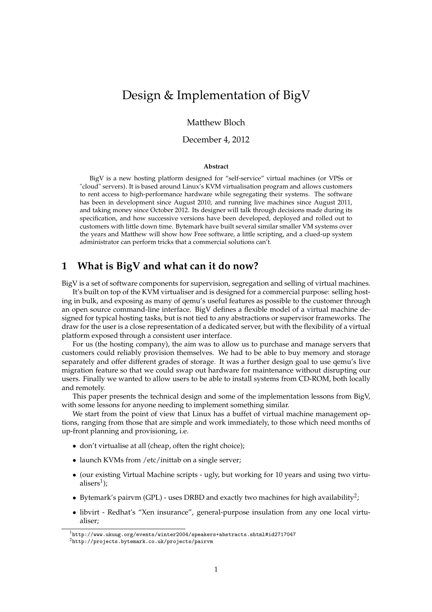# Design & Implementation of BigV

#### Matthew Bloch

#### December 4, 2012

#### **Abstract**

BigV is a new hosting platform designed for "self-service" virtual machines (or VPSs or "cloud" servers). It is based around Linux's KVM virtualisation program and allows customers to rent access to high-performance hardware while segregating their systems. The software has been in development since August 2010, and running live machines since August 2011, and taking money since October 2012. Its designer will talk through decisions made during its specification, and how successive versions have been developed, deployed and rolled out to customers with little down time. Bytemark have built several similar smaller VM systems over the years and Matthew will show how Free software, a little scripting, and a clued-up system administrator can perform tricks that a commercial solutions can't.

# **1 What is BigV and what can it do now?**

BigV is a set of software components for supervision, segregation and selling of virtual machines.

It's built on top of the KVM virtualiser and is designed for a commercial purpose: selling hosting in bulk, and exposing as many of qemu's useful features as possible to the customer through an open source command-line interface. BigV defines a flexible model of a virtual machine designed for typical hosting tasks, but is not tied to any abstractions or supervisor frameworks. The draw for the user is a close representation of a dedicated server, but with the flexibility of a virtual platform exposed through a consistent user interface.

For us (the hosting company), the aim was to allow us to purchase and manage servers that customers could reliably provision themselves. We had to be able to buy memory and storage separately and offer different grades of storage. It was a further design goal to use qemu's live migration feature so that we could swap out hardware for maintenance without disrupting our users. Finally we wanted to allow users to be able to install systems from CD-ROM, both locally and remotely.

This paper presents the technical design and some of the implementation lessons from BigV, with some lessons for anyone needing to implement something similar.

We start from the point of view that Linux has a buffet of virtual machine management options, ranging from those that are simple and work immediately, to those which need months of up-front planning and provisioning, i.e.

- don't virtualise at all (cheap, often the right choice);
- launch KVMs from /etc/inittab on a single server;
- (our existing Virtual Machine scripts ugly, but working for 10 years and using two virtualisers $^1$ );
- Bytemark's pairvm (GPL) uses DRBD and exactly two machines for high availability<sup>2</sup>;
- libvirt Redhat's "Xen insurance", general-purpose insulation from any one local virtualiser;

<sup>1</sup>http://www.ukuug.org/events/winter2004/speakers+abstracts.shtml#id2717047

<sup>2</sup>http://projects.bytemark.co.uk/projects/pairvm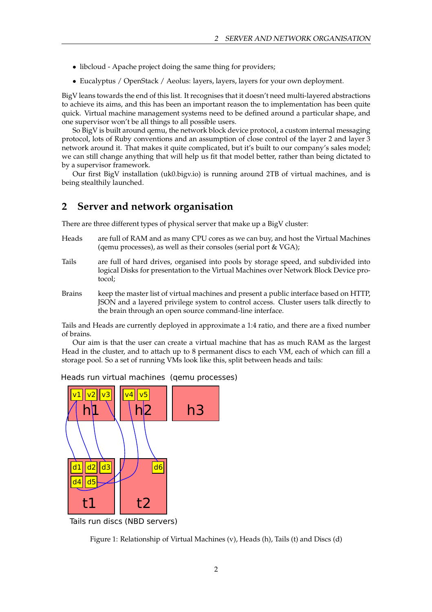- libcloud Apache project doing the same thing for providers;
- Eucalyptus / OpenStack / Aeolus: layers, layers, layers for your own deployment.

BigV leans towards the end of this list. It recognises that it doesn't need multi-layered abstractions to achieve its aims, and this has been an important reason the to implementation has been quite quick. Virtual machine management systems need to be defined around a particular shape, and one supervisor won't be all things to all possible users.

So BigV is built around qemu, the network block device protocol, a custom internal messaging protocol, lots of Ruby conventions and an assumption of close control of the layer 2 and layer 3 network around it. That makes it quite complicated, but it's built to our company's sales model; we can still change anything that will help us fit that model better, rather than being dictated to by a supervisor framework.

Our first BigV installation (uk0.bigv.io) is running around 2TB of virtual machines, and is being stealthily launched.

### **2 Server and network organisation**

There are three different types of physical server that make up a BigV cluster:

- Heads are full of RAM and as many CPU cores as we can buy, and host the Virtual Machines (qemu processes), as well as their consoles (serial port & VGA);
- Tails are full of hard drives, organised into pools by storage speed, and subdivided into logical Disks for presentation to the Virtual Machines over Network Block Device protocol;
- Brains keep the master list of virtual machines and present a public interface based on HTTP, JSON and a layered privilege system to control access. Cluster users talk directly to the brain through an open source command-line interface.

Tails and Heads are currently deployed in approximate a 1:4 ratio, and there are a fixed number of brains.

Our aim is that the user can create a virtual machine that has as much RAM as the largest Head in the cluster, and to attach up to 8 permanent discs to each VM, each of which can fill a storage pool. So a set of running VMs look like this, split between heads and tails:



Heads run virtual machines (qemu processes)

Tails run discs (NBD servers)

Figure 1: Relationship of Virtual Machines (v), Heads (h), Tails (t) and Discs (d)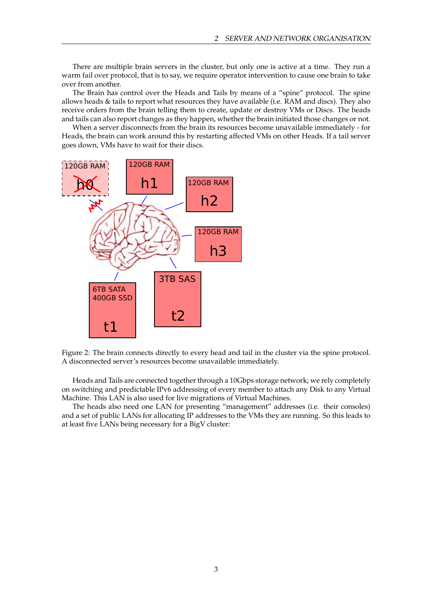There are multiple brain servers in the cluster, but only one is active at a time. They run a warm fail over protocol, that is to say, we require operator intervention to cause one brain to take over from another.

The Brain has control over the Heads and Tails by means of a "spine" protocol. The spine allows heads & tails to report what resources they have available (i.e. RAM and discs). They also receive orders from the brain telling them to create, update or destroy VMs or Discs. The heads and tails can also report changes as they happen, whether the brain initiated those changes or not.

When a server disconnects from the brain its resources become unavailable immediately - for Heads, the brain can work around this by restarting affected VMs on other Heads. If a tail server goes down, VMs have to wait for their discs.



Figure 2: The brain connects directly to every head and tail in the cluster via the spine protocol. A disconnected server's resources become unavailable immediately.

Heads and Tails are connected together through a 10Gbps storage network; we rely completely on switching and predictable IPv6 addressing of every member to attach any Disk to any Virtual Machine. This LAN is also used for live migrations of Virtual Machines.

The heads also need one LAN for presenting "management" addresses (i.e. their consoles) and a set of public LANs for allocating IP addresses to the VMs they are running. So this leads to at least five LANs being necessary for a BigV cluster: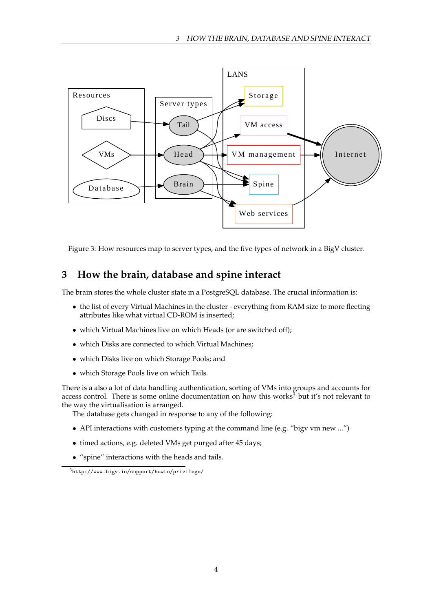

Figure 3: How resources map to server types, and the five types of network in a BigV cluster.

# **3 How the brain, database and spine interact**

The brain stores the whole cluster state in a PostgreSQL database. The crucial information is:

- the list of every Virtual Machines in the cluster everything from RAM size to more fleeting attributes like what virtual CD-ROM is inserted;
- which Virtual Machines live on which Heads (or are switched off);
- which Disks are connected to which Virtual Machines:
- which Disks live on which Storage Pools; and
- which Storage Pools live on which Tails.

There is a also a lot of data handling authentication, sorting of VMs into groups and accounts for access control. There is some online documentation on how this works<sup>3</sup> but it's not relevant to the way the virtualisation is arranged.

The database gets changed in response to any of the following:

- API interactions with customers typing at the command line (e.g. "bigy vm new ...")
- timed actions, e.g. deleted VMs get purged after 45 days;
- "spine" interactions with the heads and tails.

<sup>3</sup>http://www.bigv.io/support/howto/privilege/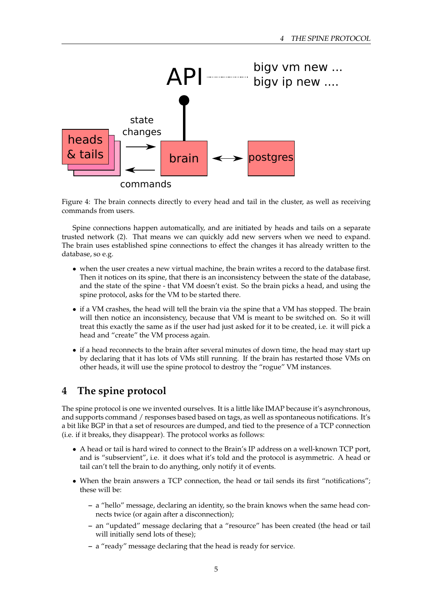

Figure 4: The brain connects directly to every head and tail in the cluster, as well as receiving commands from users.

Spine connections happen automatically, and are initiated by heads and tails on a separate trusted network (2). That means we can quickly add new servers when we need to expand. The brain uses established spine connections to effect the changes it has already written to the database, so e.g.

- when the user creates a new virtual machine, the brain writes a record to the database first. Then it notices on its spine, that there is an inconsistency between the state of the database, and the state of the spine - that VM doesn't exist. So the brain picks a head, and using the spine protocol, asks for the VM to be started there.
- if a VM crashes, the head will tell the brain via the spine that a VM has stopped. The brain will then notice an inconsistency, because that VM is meant to be switched on. So it will treat this exactly the same as if the user had just asked for it to be created, i.e. it will pick a head and "create" the VM process again.
- if a head reconnects to the brain after several minutes of down time, the head may start up by declaring that it has lots of VMs still running. If the brain has restarted those VMs on other heads, it will use the spine protocol to destroy the "rogue" VM instances.

# **4 The spine protocol**

The spine protocol is one we invented ourselves. It is a little like IMAP because it's asynchronous, and supports command / responses based based on tags, as well as spontaneous notifications. It's a bit like BGP in that a set of resources are dumped, and tied to the presence of a TCP connection (i.e. if it breaks, they disappear). The protocol works as follows:

- A head or tail is hard wired to connect to the Brain's IP address on a well-known TCP port, and is "subservient", i.e. it does what it's told and the protocol is asymmetric. A head or tail can't tell the brain to do anything, only notify it of events.
- When the brain answers a TCP connection, the head or tail sends its first "notifications"; these will be:
	- **–** a "hello" message, declaring an identity, so the brain knows when the same head connects twice (or again after a disconnection);
	- **–** an "updated" message declaring that a "resource" has been created (the head or tail will initially send lots of these);
	- **–** a "ready" message declaring that the head is ready for service.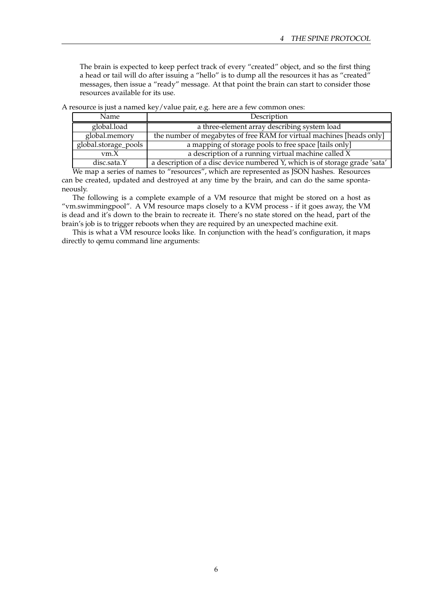The brain is expected to keep perfect track of every "created" object, and so the first thing a head or tail will do after issuing a "hello" is to dump all the resources it has as "created" messages, then issue a "ready" message. At that point the brain can start to consider those resources available for its use.

| Name                 | Description                                                                 |
|----------------------|-----------------------------------------------------------------------------|
| global.load          | a three-element array describing system load                                |
| global.memory        | the number of megabytes of free $RAM$ for virtual machines [heads only]     |
| global.storage_pools | a mapping of storage pools to free space [tails only]                       |
| vm.X                 | a description of a running virtual machine called $X$                       |
| $disc.\text{sata.Y}$ | a description of a disc device numbered Y, which is of storage grade 'sata' |

A resource is just a named key/value pair, e.g. here are a few common ones:

We map a series of names to "resources", which are represented as JSON hashes. Resources can be created, updated and destroyed at any time by the brain, and can do the same spontaneously.

The following is a complete example of a VM resource that might be stored on a host as "vm.swimmingpool". A VM resource maps closely to a KVM process - if it goes away, the VM is dead and it's down to the brain to recreate it. There's no state stored on the head, part of the brain's job is to trigger reboots when they are required by an unexpected machine exit.

This is what a VM resource looks like. In conjunction with the head's configuration, it maps directly to qemu command line arguments: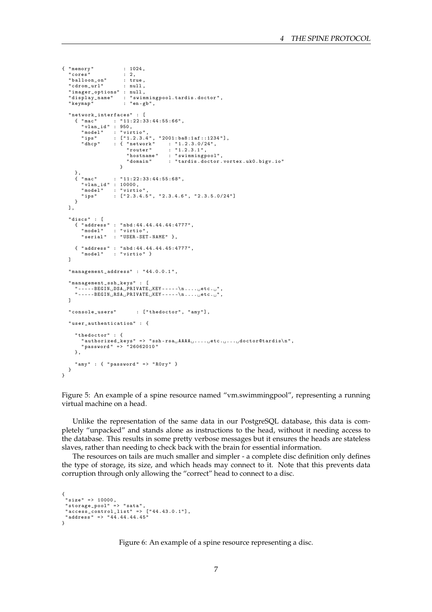```
{ "memory" : 1024,<br>"cores" : 2.
                           : 2,<br>: 2,<br>: true,<br>: null,
   " balloon_on"<br>" cdrom_url"
   " cdrom_url" : null ,
   "imager_options" : null,<br>"display_name" : "swimmingpool.tardis.doctor",<br>"keymap" : "en-gb",
   " network_interfaces" : [
       { " mac" : " 11:22:33:44:55:66" ,
" vlan_id " : 950 ,
         " model " : " virtio",<br>" ips" : ["1.2.3.4
          " ips" : [ " 1.2.3.4 " , " 2001: ba8 :1 af ::1234 "],
" dhcp " : { " network " : " 1.2.3.0/24" ,
                                  " router" : "1.2.3.1",
                                  "hostname" : "swimmingpool",
                                  " domain " : " tardis . doctor . vortex . uk0. bigv . io "
                              }
      },<br>{ "mac"
       { " mac" : " 11:22:33:44:55:68" ,
" vlan_id " : 10000 ,
          "model" : "virtio",<br>"ips" : ["2.3.4.5", "2.3.4.6", "2.3.5.0/24"]
     }
   ],
   " discs " : [
      { " address " : " nbd :44.44.44.44:4777" ,
          "model" : "virtio",<br>"serial" : "USER-SET-NAME" },
       { " address " : " nbd :44.44.44.45:4777" ,
" model " : " virtio " }
   ]
   " management_address" : " 44.0.0.1 " ,
   " management_ssh_keys" : [
       " -----BEGIN<sub>U</sub>DSA<sub>U</sub>PRIVATE<sub>U</sub>KEY -----\n . . . . <sub>U</sub>etc . <sub>U</sub>" ,<br>" -----BEGIN<sub>U</sub>RSA<sub>U</sub>PRIVATE<sub>U</sub>KEY -----\n . . . . <sub>U</sub>etc . <sub>U</sub>" ,
   ]
   " console_users" : [" thedoctor" , " amy"],
   " user_authentication" : {
       " thedoctor" : {
          " authorized_keys" => "ssh-rsa<sub>u</sub>AAAA<sub>U</sub>....<sub>U</sub>etc.<sub>U</sub>...<sub>U</sub>doctor@tardis\n",<br>"password" => "26062010"
      },
      " amy " : { " password " => " R0ry " }
}
}
```
Figure 5: An example of a spine resource named "vm.swimmingpool", representing a running virtual machine on a head.

Unlike the representation of the same data in our PostgreSQL database, this data is completely "unpacked" and stands alone as instructions to the head, without it needing access to the database. This results in some pretty verbose messages but it ensures the heads are stateless slaves, rather than needing to check back with the brain for essential information.

The resources on tails are much smaller and simpler - a complete disc definition only defines the type of storage, its size, and which heads may connect to it. Note that this prevents data corruption through only allowing the "correct" head to connect to a disc.

```
{
" size " => 10000 ,
 " storage_pool" => " sata " ,
  " access_control_list" => [" 44.43.0.1"],
" address " => " 44.44.44.45"
}
```
Figure 6: An example of a spine resource representing a disc.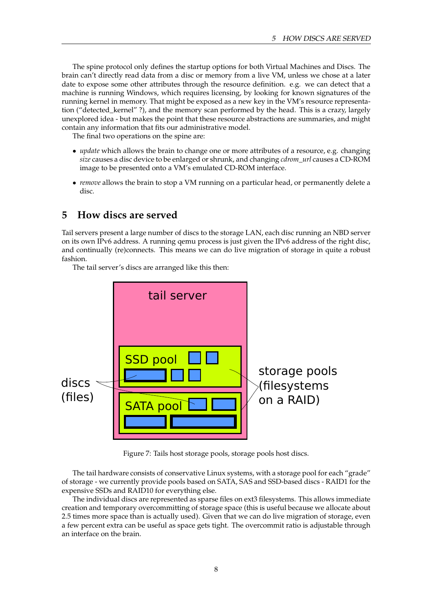The spine protocol only defines the startup options for both Virtual Machines and Discs. The brain can't directly read data from a disc or memory from a live VM, unless we chose at a later date to expose some other attributes through the resource definition. e.g. we can detect that a machine is running Windows, which requires licensing, by looking for known signatures of the running kernel in memory. That might be exposed as a new key in the VM's resource representation ("detected\_kernel" ?), and the memory scan performed by the head. This is a crazy, largely unexplored idea - but makes the point that these resource abstractions are summaries, and might contain any information that fits our administrative model.

The final two operations on the spine are:

- *update* which allows the brain to change one or more attributes of a resource, e.g. changing *size* causes a disc device to be enlarged or shrunk, and changing *cdrom\_url* causes a CD-ROM image to be presented onto a VM's emulated CD-ROM interface.
- *remove* allows the brain to stop a VM running on a particular head, or permanently delete a disc.

### **5 How discs are served**

Tail servers present a large number of discs to the storage LAN, each disc running an NBD server on its own IPv6 address. A running qemu process is just given the IPv6 address of the right disc, and continually (re)connects. This means we can do live migration of storage in quite a robust fashion.

The tail server's discs are arranged like this then:



Figure 7: Tails host storage pools, storage pools host discs.

The tail hardware consists of conservative Linux systems, with a storage pool for each "grade" of storage - we currently provide pools based on SATA, SAS and SSD-based discs - RAID1 for the expensive SSDs and RAID10 for everything else.

The individual discs are represented as sparse files on ext3 filesystems. This allows immediate creation and temporary overcommitting of storage space (this is useful because we allocate about 2.5 times more space than is actually used). Given that we can do live migration of storage, even a few percent extra can be useful as space gets tight. The overcommit ratio is adjustable through an interface on the brain.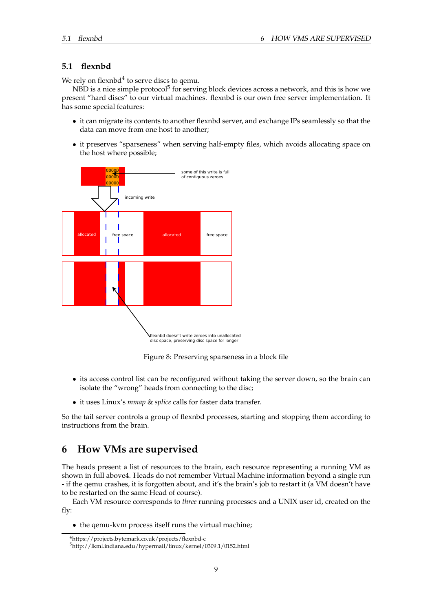#### **5.1 flexnbd**

We rely on flexnbd<sup>4</sup> to serve discs to qemu.

NBD is a nice simple protocol $^5$  for serving block devices across a network, and this is how we present "hard discs" to our virtual machines. flexnbd is our own free server implementation. It has some special features:

- it can migrate its contents to another flexnbd server, and exchange IPs seamlessly so that the data can move from one host to another;
- it preserves "sparseness" when serving half-empty files, which avoids allocating space on the host where possible;



Figure 8: Preserving sparseness in a block file

- its access control list can be reconfigured without taking the server down, so the brain can isolate the "wrong" heads from connecting to the disc;
- it uses Linux's *mmap* & *splice* calls for faster data transfer.

So the tail server controls a group of flexnbd processes, starting and stopping them according to instructions from the brain.

### **6 How VMs are supervised**

The heads present a list of resources to the brain, each resource representing a running VM as shown in full above4. Heads do not remember Virtual Machine information beyond a single run - if the qemu crashes, it is forgotten about, and it's the brain's job to restart it (a VM doesn't have to be restarted on the same Head of course).

Each VM resource corresponds to *three* running processes and a UNIX user id, created on the fly:

• the qemu-kvm process itself runs the virtual machine;

<sup>4</sup>https://projects.bytemark.co.uk/projects/flexnbd-c

<sup>5</sup>http://lkml.indiana.edu/hypermail/linux/kernel/0309.1/0152.html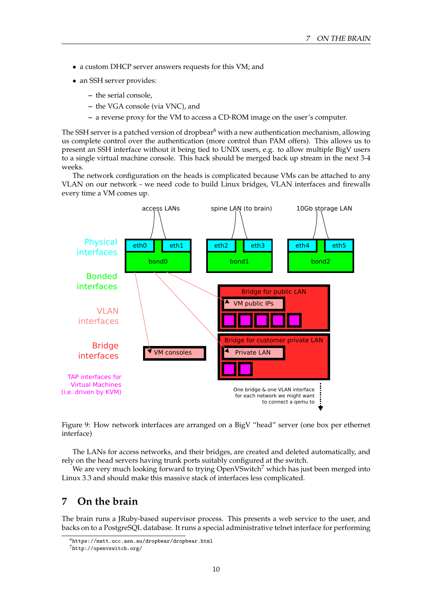- a custom DHCP server answers requests for this VM; and
- an SSH server provides:
	- **–** the serial console,
	- **–** the VGA console (via VNC), and
	- **–** a reverse proxy for the VM to access a CD-ROM image on the user's computer.

The SSH server is a patched version of dropbear<sup>6</sup> with a new authentication mechanism, allowing us complete control over the authentication (more control than PAM offers). This allows us to present an SSH interface without it being tied to UNIX users, e.g. to allow multiple BigV users to a single virtual machine console. This hack should be merged back up stream in the next 3-4 weeks.

The network configuration on the heads is complicated because VMs can be attached to any VLAN on our network - we need code to build Linux bridges, VLAN interfaces and firewalls every time a VM comes up.



Figure 9: How network interfaces are arranged on a BigV "head" server (one box per ethernet interface)

The LANs for access networks, and their bridges, are created and deleted automatically, and rely on the head servers having trunk ports suitably configured at the switch.

We are very much looking forward to trying OpenVSwitch<sup>7</sup> which has just been merged into Linux 3.3 and should make this massive stack of interfaces less complicated.

# **7 On the brain**

The brain runs a JRuby-based supervisor process. This presents a web service to the user, and backs on to a PostgreSQL database. It runs a special administrative telnet interface for performing

 $<sup>6</sup>$ https://matt.ucc.asn.au/dropbear/dropbear.html</sup>

<sup>7</sup>http://openvswitch.org/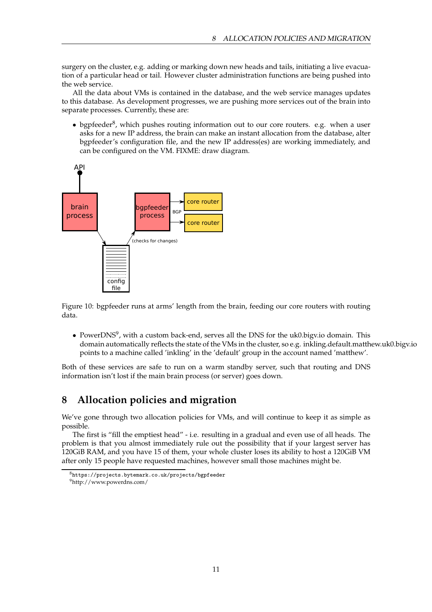surgery on the cluster, e.g. adding or marking down new heads and tails, initiating a live evacuation of a particular head or tail. However cluster administration functions are being pushed into the web service.

All the data about VMs is contained in the database, and the web service manages updates to this database. As development progresses, we are pushing more services out of the brain into separate processes. Currently, these are:

• bgpfeeder<sup>8</sup>, which pushes routing information out to our core routers. e.g. when a user asks for a new IP address, the brain can make an instant allocation from the database, alter bgpfeeder's configuration file, and the new IP address(es) are working immediately, and can be configured on the VM. FIXME: draw diagram.



Figure 10: bgpfeeder runs at arms' length from the brain, feeding our core routers with routing data.

• PowerDNS<sup>9</sup>, with a custom back-end, serves all the DNS for the uk0.bigv.io domain. This domain automatically reflects the state of the VMs in the cluster, so e.g. inkling.default.matthew.uk0.bigv.io points to a machine called 'inkling' in the 'default' group in the account named 'matthew'.

Both of these services are safe to run on a warm standby server, such that routing and DNS information isn't lost if the main brain process (or server) goes down.

# **8 Allocation policies and migration**

We've gone through two allocation policies for VMs, and will continue to keep it as simple as possible.

The first is "fill the emptiest head" - i.e. resulting in a gradual and even use of all heads. The problem is that you almost immediately rule out the possibility that if your largest server has 120GiB RAM, and you have 15 of them, your whole cluster loses its ability to host a 120GiB VM after only 15 people have requested machines, however small those machines might be.

<sup>8</sup>https://projects.bytemark.co.uk/projects/bgpfeeder <sup>9</sup>http://www.powerdns.com/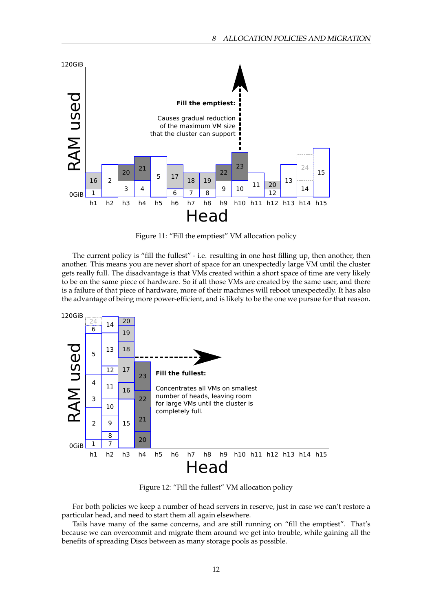

Figure 11: "Fill the emptiest" VM allocation policy

The current policy is "fill the fullest" - i.e. resulting in one host filling up, then another, then another. This means you are never short of space for an unexpectedly large VM until the cluster gets really full. The disadvantage is that VMs created within a short space of time are very likely to be on the same piece of hardware. So if all those VMs are created by the same user, and there is a failure of that piece of hardware, more of their machines will reboot unexpectedly. It has also the advantage of being more power-efficient, and is likely to be the one we pursue for that reason.



Figure 12: "Fill the fullest" VM allocation policy

For both policies we keep a number of head servers in reserve, just in case we can't restore a particular head, and need to start them all again elsewhere.

Tails have many of the same concerns, and are still running on "fill the emptiest". That's because we can overcommit and migrate them around we get into trouble, while gaining all the benefits of spreading Discs between as many storage pools as possible.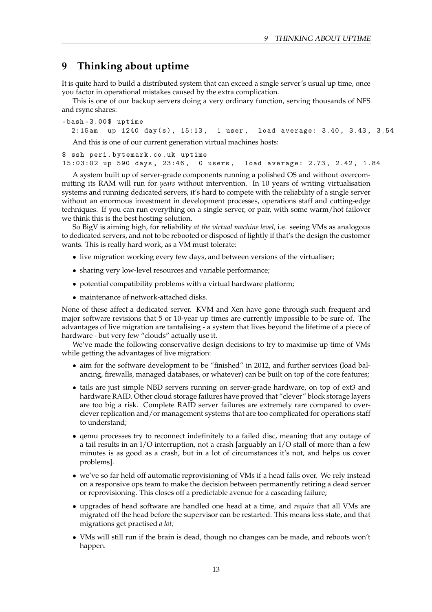### **9 Thinking about uptime**

It is quite hard to build a distributed system that can exceed a single server's usual up time, once you factor in operational mistakes caused by the extra complication.

This is one of our backup servers doing a very ordinary function, serving thousands of NFS and rsync shares:

```
-bash-3.00$ uptime
 2:15am up 1240 day(s), 15:13, 1 user, load average: 3.40, 3.43, 3.54
```
And this is one of our current generation virtual machines hosts:

```
$ ssh peri . bytemark. co . uk uptime
15:03:02 up 590 days , 23:46 , 0 users , load average: 2.73 , 2.42 , 1.84
```
A system built up of server-grade components running a polished OS and without overcommitting its RAM will run for *years* without intervention. In 10 years of writing virtualisation systems and running dedicated servers, it's hard to compete with the reliability of a single server without an enormous investment in development processes, operations staff and cutting-edge techniques. If you can run everything on a single server, or pair, with some warm/hot failover we think this is the best hosting solution.

So BigV is aiming high, for reliability *at the virtual machine level,* i.e. seeing VMs as analogous to dedicated servers, and not to be rebooted or disposed of lightly if that's the design the customer wants. This is really hard work, as a VM must tolerate:

- live migration working every few days, and between versions of the virtualiser;
- sharing very low-level resources and variable performance;
- potential compatibility problems with a virtual hardware platform;
- maintenance of network-attached disks.

None of these affect a dedicated server. KVM and Xen have gone through such frequent and major software revisions that 5 or 10-year up times are currently impossible to be sure of. The advantages of live migration are tantalising - a system that lives beyond the lifetime of a piece of hardware - but very few "clouds" actually use it.

We've made the following conservative design decisions to try to maximise up time of VMs while getting the advantages of live migration:

- aim for the software development to be "finished" in 2012, and further services (load balancing, firewalls, managed databases, or whatever) can be built on top of the core features;
- tails are just simple NBD servers running on server-grade hardware, on top of ext3 and hardware RAID. Other cloud storage failures have proved that "clever" block storage layers are too big a risk. Complete RAID server failures are extremely rare compared to overclever replication and/or management systems that are too complicated for operations staff to understand;
- qemu processes try to reconnect indefinitely to a failed disc, meaning that any outage of a tail results in an I/O interruption, not a crash [arguably an I/O stall of more than a few minutes is as good as a crash, but in a lot of circumstances it's not, and helps us cover problems].
- we've so far held off automatic reprovisioning of VMs if a head falls over. We rely instead on a responsive ops team to make the decision between permanently retiring a dead server or reprovisioning. This closes off a predictable avenue for a cascading failure;
- upgrades of head software are handled one head at a time, and *require* that all VMs are migrated off the head before the supervisor can be restarted. This means less state, and that migrations get practised *a lot;*
- VMs will still run if the brain is dead, though no changes can be made, and reboots won't happen.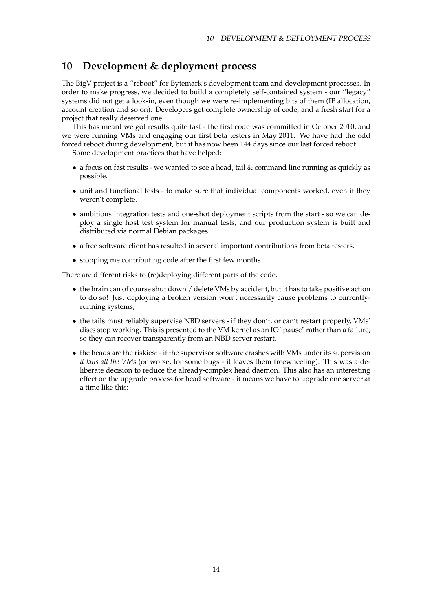### **10 Development & deployment process**

The BigV project is a "reboot" for Bytemark's development team and development processes. In order to make progress, we decided to build a completely self-contained system - our "legacy" systems did not get a look-in, even though we were re-implementing bits of them (IP allocation, account creation and so on). Developers get complete ownership of code, and a fresh start for a project that really deserved one.

This has meant we got results quite fast - the first code was committed in October 2010, and we were running VMs and engaging our first beta testers in May 2011. We have had the odd forced reboot during development, but it has now been 144 days since our last forced reboot.

Some development practices that have helped:

- a focus on fast results we wanted to see a head, tail & command line running as quickly as possible.
- unit and functional tests to make sure that individual components worked, even if they weren't complete.
- ambitious integration tests and one-shot deployment scripts from the start so we can deploy a single host test system for manual tests, and our production system is built and distributed via normal Debian packages.
- a free software client has resulted in several important contributions from beta testers.
- stopping me contributing code after the first few months.

There are different risks to (re)deploying different parts of the code.

- the brain can of course shut down / delete VMs by accident, but it has to take positive action to do so! Just deploying a broken version won't necessarily cause problems to currentlyrunning systems;
- the tails must reliably supervise NBD servers if they don't, or can't restart properly, VMs' discs stop working. This is presented to the VM kernel as an IO "pause" rather than a failure, so they can recover transparently from an NBD server restart.
- the heads are the riskiest if the supervisor software crashes with VMs under its supervision *it kills all the VMs* (or worse, for some bugs - it leaves them freewheeling). This was a deliberate decision to reduce the already-complex head daemon. This also has an interesting effect on the upgrade process for head software - it means we have to upgrade one server at a time like this: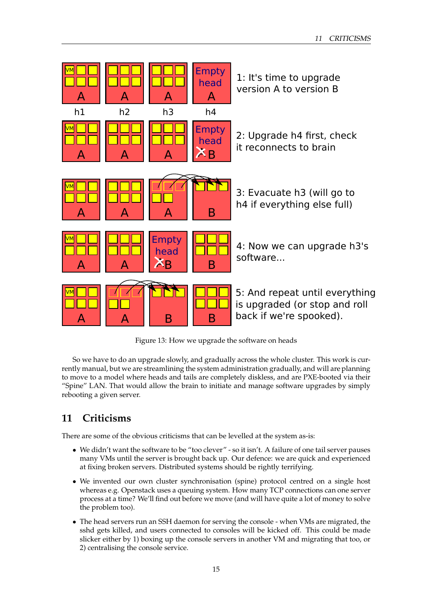

Figure 13: How we upgrade the software on heads

So we have to do an upgrade slowly, and gradually across the whole cluster. This work is currently manual, but we are streamlining the system administration gradually, and will are planning to move to a model where heads and tails are completely diskless, and are PXE-booted via their "Spine" LAN. That would allow the brain to initiate and manage software upgrades by simply rebooting a given server.

# **11 Criticisms**

There are some of the obvious criticisms that can be levelled at the system as-is:

- We didn't want the software to be "too clever" so it isn't. A failure of one tail server pauses many VMs until the server is brought back up. Our defence: we are quick and experienced at fixing broken servers. Distributed systems should be rightly terrifying.
- We invented our own cluster synchronisation (spine) protocol centred on a single host whereas e.g. Openstack uses a queuing system. How many TCP connections can one server process at a time? We'll find out before we move (and will have quite a lot of money to solve the problem too).
- The head servers run an SSH daemon for serving the console when VMs are migrated, the sshd gets killed, and users connected to consoles will be kicked off. This could be made slicker either by 1) boxing up the console servers in another VM and migrating that too, or 2) centralising the console service.